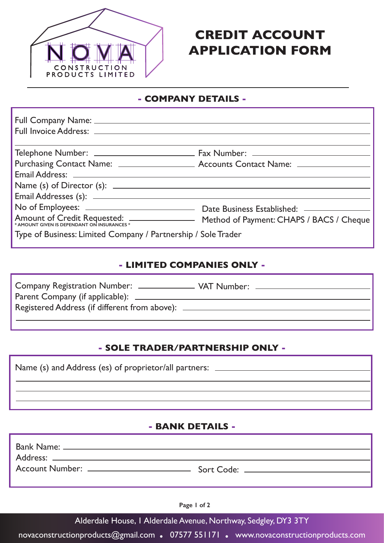

# **CREDIT ACCOUNT APPLICATION FORM**

### **- COMPANY DETAILS -**

| Email Address: 2008 and 2008 and 2008 and 2008 and 2008 and 2008 and 2008 and 2008 and 2008 and 2008 and 2008  |  |
|----------------------------------------------------------------------------------------------------------------|--|
|                                                                                                                |  |
| Email Addresses (s): 2008 2009 2010 2021 2022 2023 2024 2022 2023 2024 2022 2023 2024 2022 2023 2024 2022 2023 |  |
|                                                                                                                |  |
| Amount of Credit Requested: ________________ Method of Payment: CHAPS / BACS / Cheque                          |  |
| Type of Business: Limited Company / Partnership / Sole Trader                                                  |  |

#### **- LIMITED COMPANIES ONLY -**

| <b>Company Registration Number:</b>           | VAT Number: _ |  |
|-----------------------------------------------|---------------|--|
| Parent Company (if applicable): ______        |               |  |
| Registered Address (if different from above): |               |  |
|                                               |               |  |

### **- SOLE TRADER/PARTNERSHIP ONLY -**

| Name (s) and Address (es) of proprietor/all partners: __________________________ |  |  |
|----------------------------------------------------------------------------------|--|--|
|                                                                                  |  |  |
|                                                                                  |  |  |
|                                                                                  |  |  |
|                                                                                  |  |  |

#### **- BANK DETAILS -**

| Bank Name: ___________________                                             |                                |
|----------------------------------------------------------------------------|--------------------------------|
| Address: _________________________<br>Account Number: ____________________ | Sort Code: ___________________ |
|                                                                            |                                |

**Page 1 of 2**

Alderdale House, 1 Alderdale Avenue, Northway, Sedgley, DY3 3TY

novaconstructionproducts@gmail.com **.** 07577 551171 **.** www.novaconstructionproducts.com